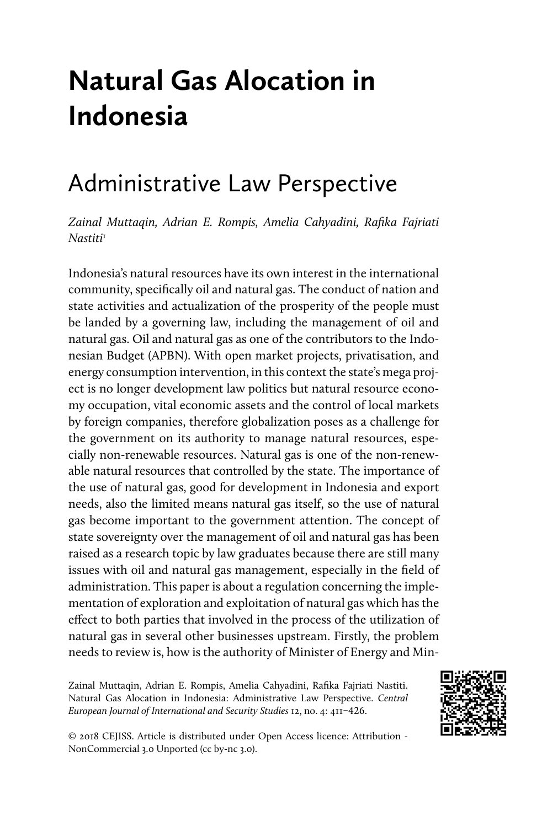# **Natural Gas Alocation in Indonesia**

# Administrative Law Perspective

*Zainal Muttaqin, Adrian E. Rompis, Amelia Cahyadini, Rafika Fajriati Nastiti*<sup>1</sup>

Indonesia's natural resources have its own interest in the international community, specifically oil and natural gas. The conduct of nation and state activities and actualization of the prosperity of the people must be landed by a governing law, including the management of oil and natural gas. Oil and natural gas as one of the contributors to the Indonesian Budget (APBN). With open market projects, privatisation, and energy consumption intervention, in this context the state's mega project is no longer development law politics but natural resource economy occupation, vital economic assets and the control of local markets by foreign companies, therefore globalization poses as a challenge for the government on its authority to manage natural resources, especially non-renewable resources. Natural gas is one of the non-renewable natural resources that controlled by the state. The importance of the use of natural gas, good for development in Indonesia and export needs, also the limited means natural gas itself, so the use of natural gas become important to the government attention. The concept of state sovereignty over the management of oil and natural gas has been raised as a research topic by law graduates because there are still many issues with oil and natural gas management, especially in the field of administration. This paper is about a regulation concerning the implementation of exploration and exploitation of natural gas which has the effect to both parties that involved in the process of the utilization of natural gas in several other businesses upstream. Firstly, the problem needs to review is, how is the authority of Minister of Energy and Min-

Zainal Muttaqin, Adrian E. Rompis, Amelia Cahyadini, Rafika Fajriati Nastiti. Natural Gas Alocation in Indonesia: Administrative Law Perspective. *Central European Journal of International and Security Studies* 12, no. 4: 411–426.



© 2018 CEJISS. Article is distributed under Open Access licence: Attribution - NonCommercial 3.0 Unported (cc by-nc 3.0).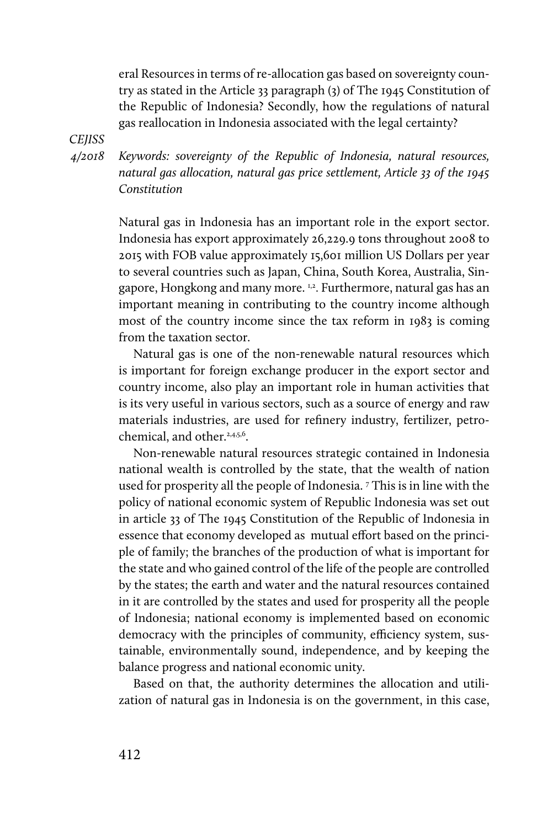eral Resources in terms of re-allocation gas based on sovereignty country as stated in the Article 33 paragraph (3) of The 1945 Constitution of the Republic of Indonesia? Secondly, how the regulations of natural gas reallocation in Indonesia associated with the legal certainty?

*CEJISS* 

*4/2018* 

*Keywords: sovereignty of the Republic of Indonesia, natural resources, natural gas allocation, natural gas price settlement, Article 33 of the 1945 Constitution*

Natural gas in Indonesia has an important role in the export sector. Indonesia has export approximately 26,229.9 tons throughout 2008 to 2015 with FOB value approximately 15,601 million US Dollars per year to several countries such as Japan, China, South Korea, Australia, Singapore, Hongkong and many more. <sup>1,2</sup>. Furthermore, natural gas has an important meaning in contributing to the country income although most of the country income since the tax reform in 1983 is coming from the taxation sector.

Natural gas is one of the non-renewable natural resources which is important for foreign exchange producer in the export sector and country income, also play an important role in human activities that is its very useful in various sectors, such as a source of energy and raw materials industries, are used for refinery industry, fertilizer, petrochemical, and other.<sup>2,4,5,6</sup>.

Non-renewable natural resources strategic contained in Indonesia national wealth is controlled by the state, that the wealth of nation used for prosperity all the people of Indonesia. 7 This is in line with the policy of national economic system of Republic Indonesia was set out in article 33 of The 1945 Constitution of the Republic of Indonesia in essence that economy developed as mutual effort based on the principle of family; the branches of the production of what is important for the state and who gained control of the life of the people are controlled by the states; the earth and water and the natural resources contained in it are controlled by the states and used for prosperity all the people of Indonesia; national economy is implemented based on economic democracy with the principles of community, efficiency system, sustainable, environmentally sound, independence, and by keeping the balance progress and national economic unity.

Based on that, the authority determines the allocation and utilization of natural gas in Indonesia is on the government, in this case,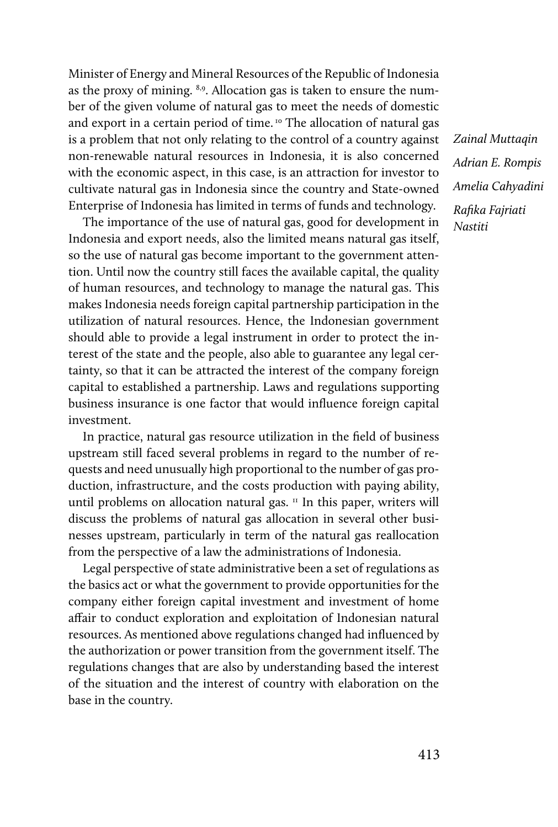Minister of Energy and Mineral Resources of the Republic of Indonesia as the proxy of mining. 8,9. Allocation gas is taken to ensure the number of the given volume of natural gas to meet the needs of domestic and export in a certain period of time. 10 The allocation of natural gas is a problem that not only relating to the control of a country against non-renewable natural resources in Indonesia, it is also concerned with the economic aspect, in this case, is an attraction for investor to cultivate natural gas in Indonesia since the country and State-owned Enterprise of Indonesia has limited in terms of funds and technology.

The importance of the use of natural gas, good for development in Indonesia and export needs, also the limited means natural gas itself, so the use of natural gas become important to the government attention. Until now the country still faces the available capital, the quality of human resources, and technology to manage the natural gas. This makes Indonesia needs foreign capital partnership participation in the utilization of natural resources. Hence, the Indonesian government should able to provide a legal instrument in order to protect the interest of the state and the people, also able to guarantee any legal certainty, so that it can be attracted the interest of the company foreign capital to established a partnership. Laws and regulations supporting business insurance is one factor that would influence foreign capital investment.

In practice, natural gas resource utilization in the field of business upstream still faced several problems in regard to the number of requests and need unusually high proportional to the number of gas production, infrastructure, and the costs production with paying ability, until problems on allocation natural gas.<sup>11</sup> In this paper, writers will discuss the problems of natural gas allocation in several other businesses upstream, particularly in term of the natural gas reallocation from the perspective of a law the administrations of Indonesia.

Legal perspective of state administrative been a set of regulations as the basics act or what the government to provide opportunities for the company either foreign capital investment and investment of home affair to conduct exploration and exploitation of Indonesian natural resources. As mentioned above regulations changed had influenced by the authorization or power transition from the government itself. The regulations changes that are also by understanding based the interest of the situation and the interest of country with elaboration on the base in the country.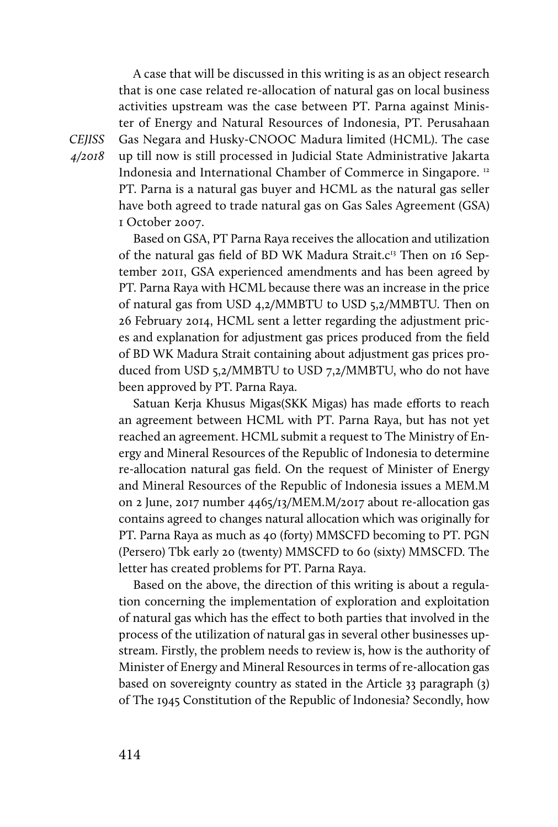A case that will be discussed in this writing is as an object research that is one case related re-allocation of natural gas on local business activities upstream was the case between PT. Parna against Minister of Energy and Natural Resources of Indonesia, PT. Perusahaan Gas Negara and Husky-CNOOC Madura limited (HCML). The case up till now is still processed in Judicial State Administrative Jakarta Indonesia and International Chamber of Commerce in Singapore. 12 PT. Parna is a natural gas buyer and HCML as the natural gas seller have both agreed to trade natural gas on Gas Sales Agreement (GSA) 1 October 2007.

Based on GSA, PT Parna Raya receives the allocation and utilization of the natural gas field of BD WK Madura Strait. $c^{13}$  Then on 16 September 2011, GSA experienced amendments and has been agreed by PT. Parna Raya with HCML because there was an increase in the price of natural gas from USD 4,2/MMBTU to USD 5,2/MMBTU. Then on 26 February 2014, HCML sent a letter regarding the adjustment prices and explanation for adjustment gas prices produced from the field of BD WK Madura Strait containing about adjustment gas prices produced from USD 5,2/MMBTU to USD 7,2/MMBTU, who do not have been approved by PT. Parna Raya.

Satuan Kerja Khusus Migas(SKK Migas) has made efforts to reach an agreement between HCML with PT. Parna Raya, but has not yet reached an agreement. HCML submit a request to The Ministry of Energy and Mineral Resources of the Republic of Indonesia to determine re-allocation natural gas field. On the request of Minister of Energy and Mineral Resources of the Republic of Indonesia issues a MEM.M on 2 June, 2017 number 4465/13/MEM.M/2017 about re-allocation gas contains agreed to changes natural allocation which was originally for PT. Parna Raya as much as 40 (forty) MMSCFD becoming to PT. PGN (Persero) Tbk early 20 (twenty) MMSCFD to 60 (sixty) MMSCFD. The letter has created problems for PT. Parna Raya.

Based on the above, the direction of this writing is about a regulation concerning the implementation of exploration and exploitation of natural gas which has the effect to both parties that involved in the process of the utilization of natural gas in several other businesses upstream. Firstly, the problem needs to review is, how is the authority of Minister of Energy and Mineral Resources in terms of re-allocation gas based on sovereignty country as stated in the Article 33 paragraph (3) of The 1945 Constitution of the Republic of Indonesia? Secondly, how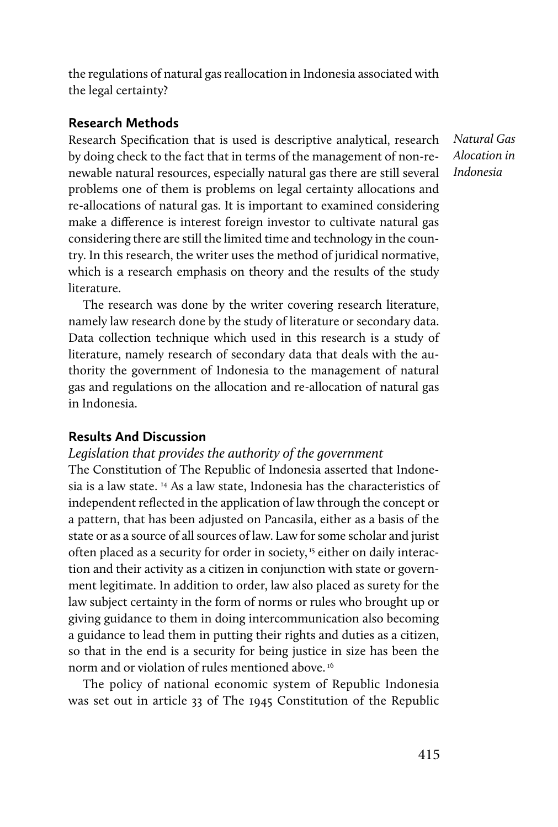the regulations of natural gas reallocation in Indonesia associated with the legal certainty?

#### **Research Methods**

Research Specification that is used is descriptive analytical, research by doing check to the fact that in terms of the management of non-renewable natural resources, especially natural gas there are still several problems one of them is problems on legal certainty allocations and re-allocations of natural gas. It is important to examined considering make a difference is interest foreign investor to cultivate natural gas considering there are still the limited time and technology in the country. In this research, the writer uses the method of juridical normative, which is a research emphasis on theory and the results of the study literature.

The research was done by the writer covering research literature, namely law research done by the study of literature or secondary data. Data collection technique which used in this research is a study of literature, namely research of secondary data that deals with the authority the government of Indonesia to the management of natural gas and regulations on the allocation and re-allocation of natural gas in Indonesia.

## **Results And Discussion**

#### *Legislation that provides the authority of the government*

The Constitution of The Republic of Indonesia asserted that Indonesia is a law state. 14 As a law state, Indonesia has the characteristics of independent reflected in the application of law through the concept or a pattern, that has been adjusted on Pancasila, either as a basis of the state or as a source of all sources of law. Law for some scholar and jurist often placed as a security for order in society,<sup>15</sup> either on daily interaction and their activity as a citizen in conjunction with state or government legitimate. In addition to order, law also placed as surety for the law subject certainty in the form of norms or rules who brought up or giving guidance to them in doing intercommunication also becoming a guidance to lead them in putting their rights and duties as a citizen, so that in the end is a security for being justice in size has been the norm and or violation of rules mentioned above.<sup>16</sup>

The policy of national economic system of Republic Indonesia was set out in article 33 of The 1945 Constitution of the Republic

*Natural Gas Alocation in Indonesia*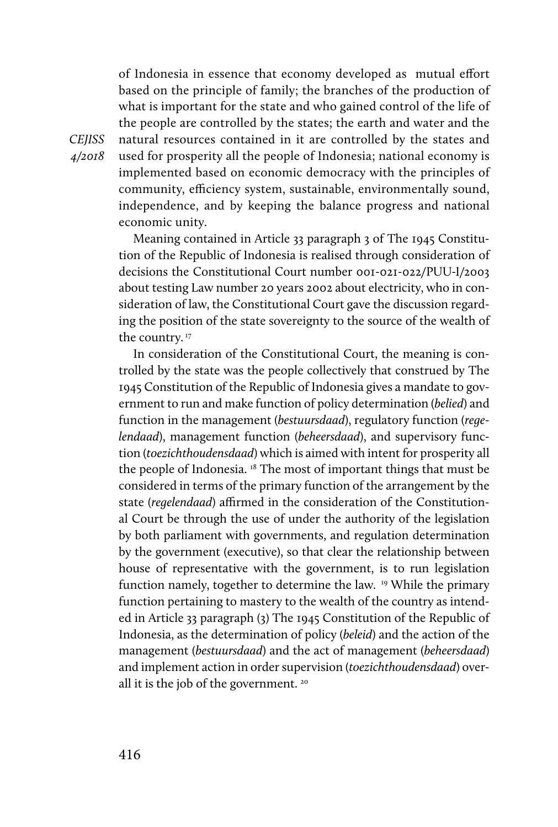of Indonesia in essence that economy developed as mutual effort based on the principle of family; the branches of the production of what is important for the state and who gained control of the life of the people are controlled by the states; the earth and water and the natural resources contained in it are controlled by the states and used for prosperity all the people of Indonesia; national economy is implemented based on economic democracy with the principles of community, efficiency system, sustainable, environmentally sound, independence, and by keeping the balance progress and national economic unity.

Meaning contained in Article 33 paragraph 3 of The 1945 Constitution of the Republic of Indonesia is realised through consideration of decisions the Constitutional Court number 001-021-022/PUU-I/2003 about testing Law number 20 years 2002 about electricity, who in consideration of law, the Constitutional Court gave the discussion regarding the position of the state sovereignty to the source of the wealth of the country.<sup>17</sup>

In consideration of the Constitutional Court, the meaning is controlled by the state was the people collectively that construed by The 1945 Constitution of the Republic of Indonesia gives a mandate to government to run and make function of policy determination (*belied*) and function in the management (*bestuursdaad*), regulatory function (*regelendaad*), management function (*beheersdaad*), and supervisory function (*toezichthoudensdaad*) which is aimed with intent for prosperity all the people of Indonesia. 18 The most of important things that must be considered in terms of the primary function of the arrangement by the state (*regelendaad*) affirmed in the consideration of the Constitutional Court be through the use of under the authority of the legislation by both parliament with governments, and regulation determination by the government (executive), so that clear the relationship between house of representative with the government, is to run legislation function namely, together to determine the law. 19 While the primary function pertaining to mastery to the wealth of the country as intended in Article 33 paragraph (3) The 1945 Constitution of the Republic of Indonesia, as the determination of policy (*beleid*) and the action of the management (*bestuursdaad*) and the act of management (*beheersdaad*) and implement action in order supervision (*toezichthoudensdaad*) overall it is the job of the government. 20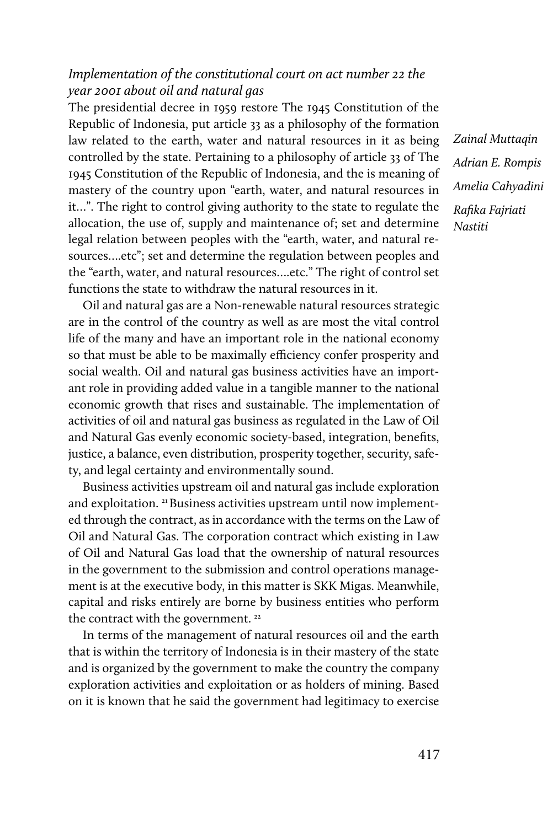# *Implementation of the constitutional court on act number 22 the year 2001 about oil and natural gas*

The presidential decree in 1959 restore The 1945 Constitution of the Republic of Indonesia, put article 33 as a philosophy of the formation law related to the earth, water and natural resources in it as being controlled by the state. Pertaining to a philosophy of article 33 of The 1945 Constitution of the Republic of Indonesia, and the is meaning of mastery of the country upon "earth, water, and natural resources in it…". The right to control giving authority to the state to regulate the allocation, the use of, supply and maintenance of; set and determine legal relation between peoples with the "earth, water, and natural resources….etc"; set and determine the regulation between peoples and the "earth, water, and natural resources….etc." The right of control set functions the state to withdraw the natural resources in it.

Oil and natural gas are a Non-renewable natural resources strategic are in the control of the country as well as are most the vital control life of the many and have an important role in the national economy so that must be able to be maximally efficiency confer prosperity and social wealth. Oil and natural gas business activities have an important role in providing added value in a tangible manner to the national economic growth that rises and sustainable. The implementation of activities of oil and natural gas business as regulated in the Law of Oil and Natural Gas evenly economic society-based, integration, benefits, justice, a balance, even distribution, prosperity together, security, safety, and legal certainty and environmentally sound.

Business activities upstream oil and natural gas include exploration and exploitation. <sup>21</sup> Business activities upstream until now implemented through the contract, as in accordance with the terms on the Law of Oil and Natural Gas. The corporation contract which existing in Law of Oil and Natural Gas load that the ownership of natural resources in the government to the submission and control operations management is at the executive body, in this matter is SKK Migas. Meanwhile, capital and risks entirely are borne by business entities who perform the contract with the government.<sup>22</sup>

In terms of the management of natural resources oil and the earth that is within the territory of Indonesia is in their mastery of the state and is organized by the government to make the country the company exploration activities and exploitation or as holders of mining. Based on it is known that he said the government had legitimacy to exercise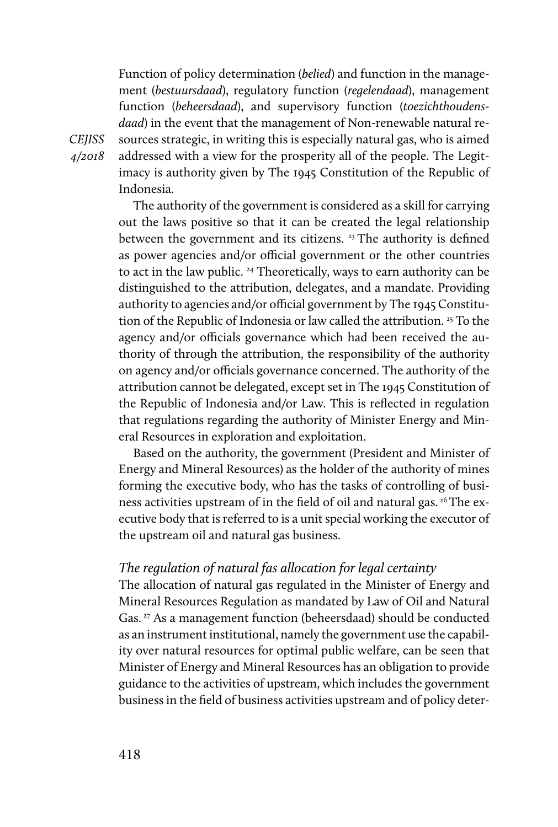Function of policy determination (*belied*) and function in the management (*bestuursdaad*), regulatory function (*regelendaad*), management function (*beheersdaad*), and supervisory function (*toezichthoudensdaad*) in the event that the management of Non-renewable natural resources strategic, in writing this is especially natural gas, who is aimed addressed with a view for the prosperity all of the people. The Legitimacy is authority given by The 1945 Constitution of the Republic of Indonesia.

The authority of the government is considered as a skill for carrying out the laws positive so that it can be created the legal relationship between the government and its citizens. 23 The authority is defined as power agencies and/or official government or the other countries to act in the law public.<sup>24</sup> Theoretically, ways to earn authority can be distinguished to the attribution, delegates, and a mandate. Providing authority to agencies and/or official government by The 1945 Constitution of the Republic of Indonesia or law called the attribution.<sup>25</sup> To the agency and/or officials governance which had been received the authority of through the attribution, the responsibility of the authority on agency and/or officials governance concerned. The authority of the attribution cannot be delegated, except set in The 1945 Constitution of the Republic of Indonesia and/or Law. This is reflected in regulation that regulations regarding the authority of Minister Energy and Mineral Resources in exploration and exploitation.

Based on the authority, the government (President and Minister of Energy and Mineral Resources) as the holder of the authority of mines forming the executive body, who has the tasks of controlling of business activities upstream of in the field of oil and natural gas. 26 The executive body that is referred to is a unit special working the executor of the upstream oil and natural gas business.

#### *The regulation of natural fas allocation for legal certainty*

The allocation of natural gas regulated in the Minister of Energy and Mineral Resources Regulation as mandated by Law of Oil and Natural Gas.<sup>27</sup> As a management function (beheersdaad) should be conducted as an instrument institutional, namely the government use the capability over natural resources for optimal public welfare, can be seen that Minister of Energy and Mineral Resources has an obligation to provide guidance to the activities of upstream, which includes the government business in the field of business activities upstream and of policy deter-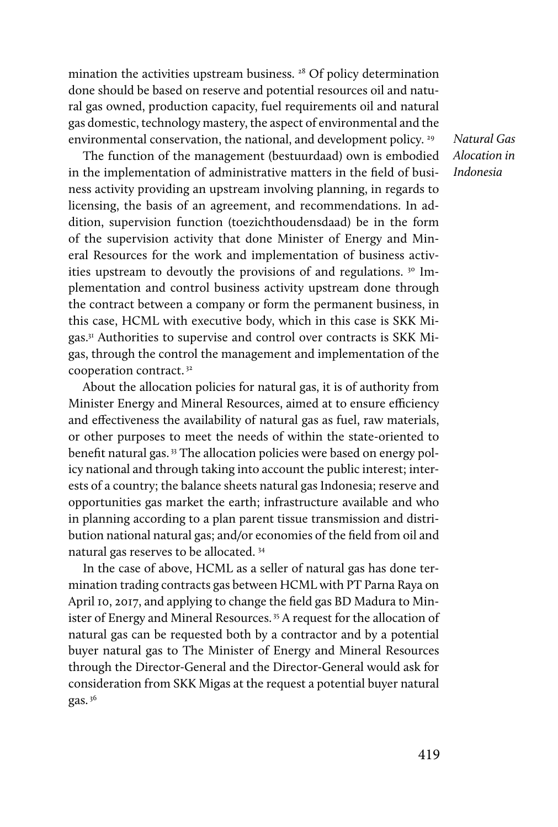mination the activities upstream business.<sup>28</sup> Of policy determination done should be based on reserve and potential resources oil and natural gas owned, production capacity, fuel requirements oil and natural gas domestic, technology mastery, the aspect of environmental and the environmental conservation, the national, and development policy.<sup>29</sup>

The function of the management (bestuurdaad) own is embodied in the implementation of administrative matters in the field of business activity providing an upstream involving planning, in regards to licensing, the basis of an agreement, and recommendations. In addition, supervision function (toezichthoudensdaad) be in the form of the supervision activity that done Minister of Energy and Mineral Resources for the work and implementation of business activities upstream to devoutly the provisions of and regulations. <sup>30</sup> Implementation and control business activity upstream done through the contract between a company or form the permanent business, in this case, HCML with executive body, which in this case is SKK Migas.31 Authorities to supervise and control over contracts is SKK Migas, through the control the management and implementation of the cooperation contract. 32

About the allocation policies for natural gas, it is of authority from Minister Energy and Mineral Resources, aimed at to ensure efficiency and effectiveness the availability of natural gas as fuel, raw materials, or other purposes to meet the needs of within the state-oriented to benefit natural gas. 33 The allocation policies were based on energy policy national and through taking into account the public interest; interests of a country; the balance sheets natural gas Indonesia; reserve and opportunities gas market the earth; infrastructure available and who in planning according to a plan parent tissue transmission and distribution national natural gas; and/or economies of the field from oil and natural gas reserves to be allocated. 34

In the case of above, HCML as a seller of natural gas has done termination trading contracts gas between HCML with PT Parna Raya on April 10, 2017, and applying to change the field gas BD Madura to Minister of Energy and Mineral Resources.<sup>35</sup> A request for the allocation of natural gas can be requested both by a contractor and by a potential buyer natural gas to The Minister of Energy and Mineral Resources through the Director-General and the Director-General would ask for consideration from SKK Migas at the request a potential buyer natural gas. 36

*Natural Gas Alocation in Indonesia*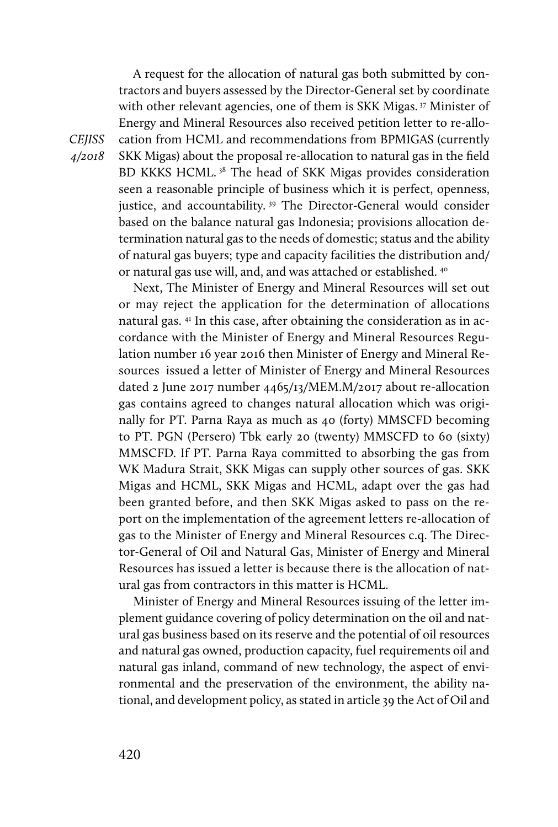A request for the allocation of natural gas both submitted by contractors and buyers assessed by the Director-General set by coordinate with other relevant agencies, one of them is SKK Migas.<sup>37</sup> Minister of Energy and Mineral Resources also received petition letter to re-allocation from HCML and recommendations from BPMIGAS (currently SKK Migas) about the proposal re-allocation to natural gas in the field BD KKKS HCML.<sup>38</sup> The head of SKK Migas provides consideration seen a reasonable principle of business which it is perfect, openness, justice, and accountability.<sup>39</sup> The Director-General would consider based on the balance natural gas Indonesia; provisions allocation determination natural gas to the needs of domestic; status and the ability of natural gas buyers; type and capacity facilities the distribution and/ or natural gas use will, and, and was attached or established. <sup>40</sup>

Next, The Minister of Energy and Mineral Resources will set out or may reject the application for the determination of allocations natural gas. 41 In this case, after obtaining the consideration as in accordance with the Minister of Energy and Mineral Resources Regulation number 16 year 2016 then Minister of Energy and Mineral Resources issued a letter of Minister of Energy and Mineral Resources dated 2 June 2017 number 4465/13/MEM.M/2017 about re-allocation gas contains agreed to changes natural allocation which was originally for PT. Parna Raya as much as 40 (forty) MMSCFD becoming to PT. PGN (Persero) Tbk early 20 (twenty) MMSCFD to 60 (sixty) MMSCFD. If PT. Parna Raya committed to absorbing the gas from WK Madura Strait, SKK Migas can supply other sources of gas. SKK Migas and HCML, SKK Migas and HCML, adapt over the gas had been granted before, and then SKK Migas asked to pass on the report on the implementation of the agreement letters re-allocation of gas to the Minister of Energy and Mineral Resources c.q. The Director-General of Oil and Natural Gas, Minister of Energy and Mineral Resources has issued a letter is because there is the allocation of natural gas from contractors in this matter is HCML.

Minister of Energy and Mineral Resources issuing of the letter implement guidance covering of policy determination on the oil and natural gas business based on its reserve and the potential of oil resources and natural gas owned, production capacity, fuel requirements oil and natural gas inland, command of new technology, the aspect of environmental and the preservation of the environment, the ability national, and development policy, as stated in article 39 the Act of Oil and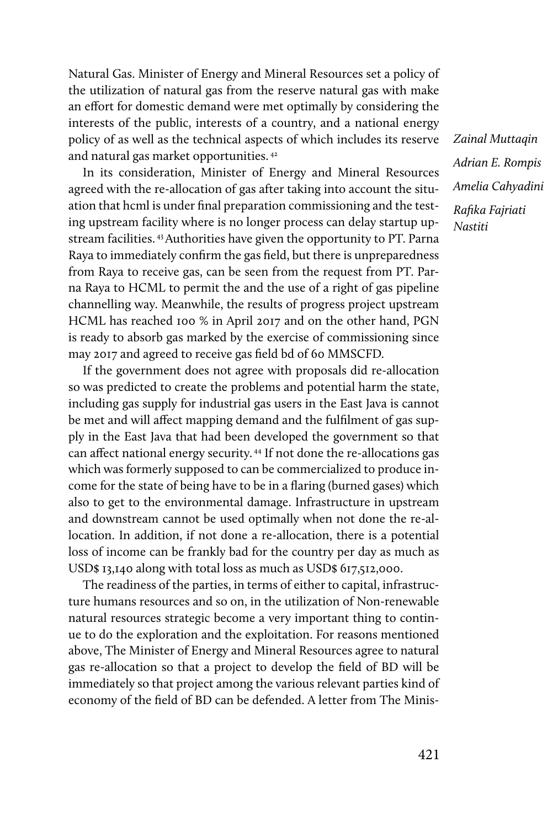Natural Gas. Minister of Energy and Mineral Resources set a policy of the utilization of natural gas from the reserve natural gas with make an effort for domestic demand were met optimally by considering the interests of the public, interests of a country, and a national energy policy of as well as the technical aspects of which includes its reserve and natural gas market opportunities. 42

In its consideration, Minister of Energy and Mineral Resources agreed with the re-allocation of gas after taking into account the situation that hcml is under final preparation commissioning and the testing upstream facility where is no longer process can delay startup upstream facilities. 43 Authorities have given the opportunity to PT. Parna Raya to immediately confirm the gas field, but there is unpreparedness from Raya to receive gas, can be seen from the request from PT. Parna Raya to HCML to permit the and the use of a right of gas pipeline channelling way. Meanwhile, the results of progress project upstream HCML has reached 100 % in April 2017 and on the other hand, PGN is ready to absorb gas marked by the exercise of commissioning since may 2017 and agreed to receive gas field bd of 60 MMSCFD.

If the government does not agree with proposals did re-allocation so was predicted to create the problems and potential harm the state, including gas supply for industrial gas users in the East Java is cannot be met and will affect mapping demand and the fulfilment of gas supply in the East Java that had been developed the government so that can affect national energy security. 44 If not done the re-allocations gas which was formerly supposed to can be commercialized to produce income for the state of being have to be in a flaring (burned gases) which also to get to the environmental damage. Infrastructure in upstream and downstream cannot be used optimally when not done the re-allocation. In addition, if not done a re-allocation, there is a potential loss of income can be frankly bad for the country per day as much as USD\$ 13,140 along with total loss as much as USD\$ 617,512,000.

The readiness of the parties, in terms of either to capital, infrastructure humans resources and so on, in the utilization of Non-renewable natural resources strategic become a very important thing to continue to do the exploration and the exploitation. For reasons mentioned above, The Minister of Energy and Mineral Resources agree to natural gas re-allocation so that a project to develop the field of BD will be immediately so that project among the various relevant parties kind of economy of the field of BD can be defended. A letter from The Minis-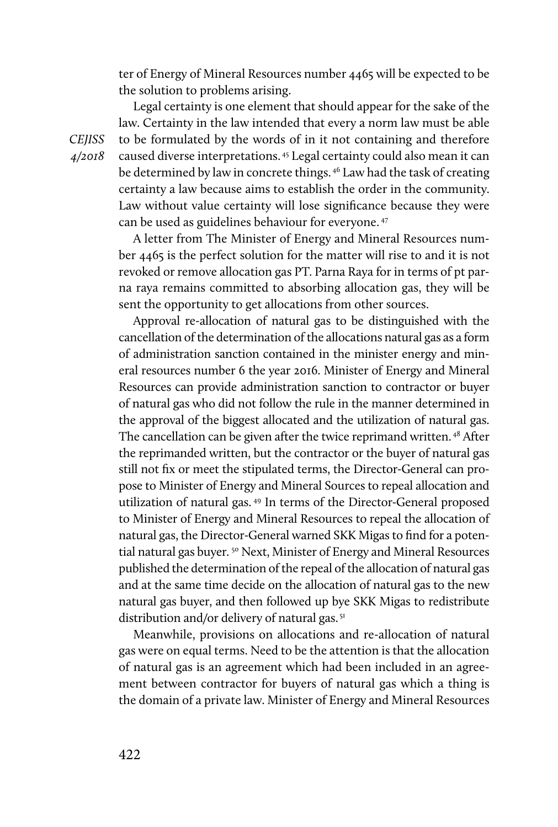ter of Energy of Mineral Resources number 4465 will be expected to be the solution to problems arising.

Legal certainty is one element that should appear for the sake of the law. Certainty in the law intended that every a norm law must be able to be formulated by the words of in it not containing and therefore caused diverse interpretations. 45 Legal certainty could also mean it can be determined by law in concrete things. 46 Law had the task of creating certainty a law because aims to establish the order in the community. Law without value certainty will lose significance because they were can be used as guidelines behaviour for everyone. 47

A letter from The Minister of Energy and Mineral Resources number 4465 is the perfect solution for the matter will rise to and it is not revoked or remove allocation gas PT. Parna Raya for in terms of pt parna raya remains committed to absorbing allocation gas, they will be sent the opportunity to get allocations from other sources.

Approval re-allocation of natural gas to be distinguished with the cancellation of the determination of the allocations natural gas as a form of administration sanction contained in the minister energy and mineral resources number 6 the year 2016. Minister of Energy and Mineral Resources can provide administration sanction to contractor or buyer of natural gas who did not follow the rule in the manner determined in the approval of the biggest allocated and the utilization of natural gas. The cancellation can be given after the twice reprimand written. 48 After the reprimanded written, but the contractor or the buyer of natural gas still not fix or meet the stipulated terms, the Director-General can propose to Minister of Energy and Mineral Sources to repeal allocation and utilization of natural gas. 49 In terms of the Director-General proposed to Minister of Energy and Mineral Resources to repeal the allocation of natural gas, the Director-General warned SKK Migas to find for a potential natural gas buyer.<sup>50</sup> Next, Minister of Energy and Mineral Resources published the determination of the repeal of the allocation of natural gas and at the same time decide on the allocation of natural gas to the new natural gas buyer, and then followed up bye SKK Migas to redistribute distribution and/or delivery of natural gas.<sup>51</sup>

Meanwhile, provisions on allocations and re-allocation of natural gas were on equal terms. Need to be the attention is that the allocation of natural gas is an agreement which had been included in an agreement between contractor for buyers of natural gas which a thing is the domain of a private law. Minister of Energy and Mineral Resources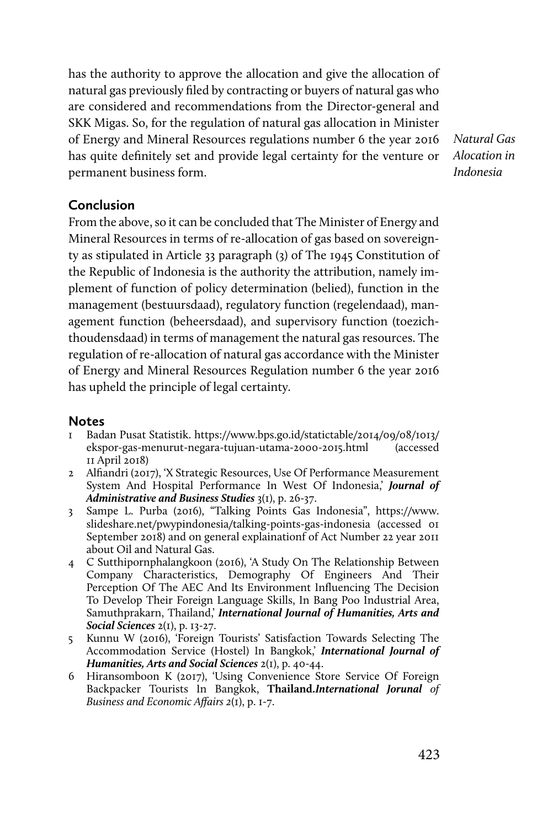has the authority to approve the allocation and give the allocation of natural gas previously filed by contracting or buyers of natural gas who are considered and recommendations from the Director-general and SKK Migas. So, for the regulation of natural gas allocation in Minister of Energy and Mineral Resources regulations number 6 the year 2016 has quite definitely set and provide legal certainty for the venture or permanent business form.

*Natural Gas Alocation in Indonesia*

# **Conclusion**

From the above, so it can be concluded that The Minister of Energy and Mineral Resources in terms of re-allocation of gas based on sovereignty as stipulated in Article 33 paragraph (3) of The 1945 Constitution of the Republic of Indonesia is the authority the attribution, namely implement of function of policy determination (belied), function in the management (bestuursdaad), regulatory function (regelendaad), management function (beheersdaad), and supervisory function (toezichthoudensdaad) in terms of management the natural gas resources. The regulation of re-allocation of natural gas accordance with the Minister of Energy and Mineral Resources Regulation number 6 the year 2016 has upheld the principle of legal certainty.

# **Notes**

- 1 Badan Pusat Statistik. https://www.bps.go.id/statictable/2014/09/08/1013/ ekspor-gas-menurut-negara-tujuan-utama-2000-2015.html (accessed 11 April 2018)
- 2 Alfiandri (2017), 'X Strategic Resources, Use Of Performance Measurement System And Hospital Performance In West Of Indonesia,' *Journal of Administrative and Business Studies* 3(1), p. 26-37.
- 3 Sampe L. Purba (2016), "Talking Points Gas Indonesia", https://www. slideshare.net/pwypindonesia/talking-points-gas-indonesia (accessed 01 September 2018) and on general explainationf of Act Number 22 year 2011 about Oil and Natural Gas.
- 4 C Sutthipornphalangkoon (2016), 'A Study On The Relationship Between Company Characteristics, Demography Of Engineers And Their Perception Of The AEC And Its Environment Influencing The Decision To Develop Their Foreign Language Skills, In Bang Poo Industrial Area, Samuthprakarn, Thailand,' *International Journal of Humanities, Arts and Social Sciences* 2(1), p. 13-27.
- 5 Kunnu W (2016), 'Foreign Tourists' Satisfaction Towards Selecting The Accommodation Service (Hostel) In Bangkok,' *International Journal of Humanities, Arts and Social Sciences* 2(1), p. 40-44.
- 6 Hiransomboon K (2017), 'Using Convenience Store Service Of Foreign Backpacker Tourists In Bangkok, **Thailand.***International Jorunal of Business and Economic Affairs 2*(1), p. 1-7.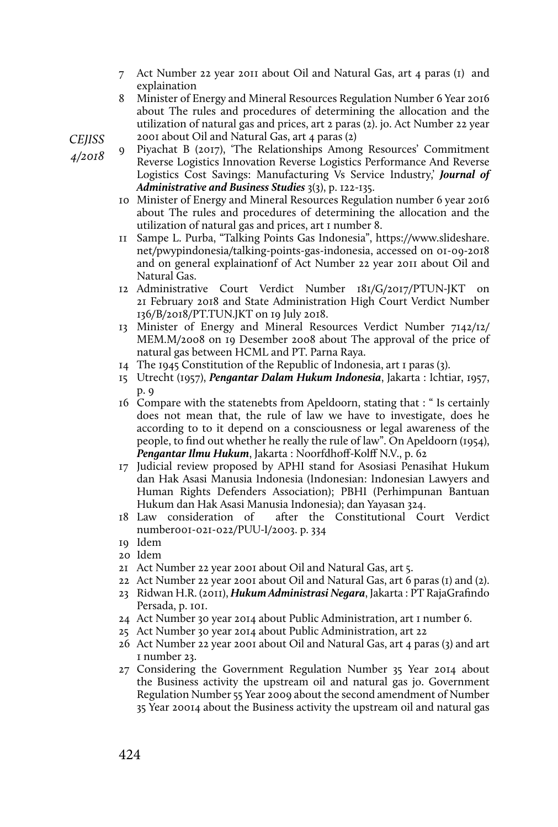- 7 Act Number 22 year 2011 about Oil and Natural Gas, art 4 paras (1) and explaination
- 8 Minister of Energy and Mineral Resources Regulation Number 6 Year 2016 about The rules and procedures of determining the allocation and the utilization of natural gas and prices, art 2 paras (2). jo. Act Number 22 year 2001 about Oil and Natural Gas, art 4 paras (2)

*CEJISS* 

*4/2018* 

- Piyachat B (2017), 'The Relationships Among Resources' Commitment Reverse Logistics Innovation Reverse Logistics Performance And Reverse Logistics Cost Savings: Manufacturing Vs Service Industry,' *Journal of Administrative and Business Studies* 3(3), p. 122-135.
- 10 Minister of Energy and Mineral Resources Regulation number 6 year 2016 about The rules and procedures of determining the allocation and the utilization of natural gas and prices, art 1 number 8.
- 11 Sampe L. Purba, "Talking Points Gas Indonesia", https://www.slideshare. net/pwypindonesia/talking-points-gas-indonesia, accessed on 01-09-2018 and on general explainationf of Act Number 22 year 2011 about Oil and Natural Gas.
- 12 Administrative Court Verdict Number 181/G/2017/PTUN-JKT on 21 February 2018 and State Administration High Court Verdict Number 136/B/2018/PT.TUN.JKT on 19 July 2018.
- 13 Minister of Energy and Mineral Resources Verdict Number 7142/12/ MEM.M/2008 on 19 Desember 2008 about The approval of the price of natural gas between HCML and PT. Parna Raya.
- 14 The 1945 Constitution of the Republic of Indonesia, art 1 paras (3).
- 15 Utrecht (1957), *Pengantar Dalam Hukum Indonesia*, Jakarta : Ichtiar, 1957, p. 9
- 16 Compare with the statenebts from Apeldoorn, stating that : " Is certainly does not mean that, the rule of law we have to investigate, does he according to to it depend on a consciousness or legal awareness of the people, to find out whether he really the rule of law". On Apeldoorn (1954), *Pengantar Ilmu Hukum*, Jakarta : Noorfdhoff-Kolff N.V., p. 62
- 17 Judicial review proposed by APHI stand for Asosiasi Penasihat Hukum dan Hak Asasi Manusia Indonesia (Indonesian: Indonesian Lawyers and Human Rights Defenders Association); PBHI (Perhimpunan Bantuan Hukum dan Hak Asasi Manusia Indonesia); dan Yayasan 324.
- 18 Law consideration of after the Constitutional Court Verdict number001-021-022/PUU-I/2003. p. 334
- 19 Idem
- 20 Idem
- 21 Act Number 22 year 2001 about Oil and Natural Gas, art 5.
- 22 Act Number 22 year 2001 about Oil and Natural Gas, art 6 paras (1) and (2).
- 23 Ridwan H.R. (2011), *Hukum Administrasi Negara*, Jakarta : PT RajaGrafindo Persada, p. 101.
- 24 Act Number 30 year 2014 about Public Administration, art 1 number 6.
- 25 Act Number 30 year 2014 about Public Administration, art 22
- 26 Act Number 22 year 2001 about Oil and Natural Gas, art 4 paras (3) and art 1 number 23.
- 27 Considering the Government Regulation Number 35 Year 2014 about the Business activity the upstream oil and natural gas jo. Government Regulation Number 55 Year 2009 about the second amendment of Number 35 Year 20014 about the Business activity the upstream oil and natural gas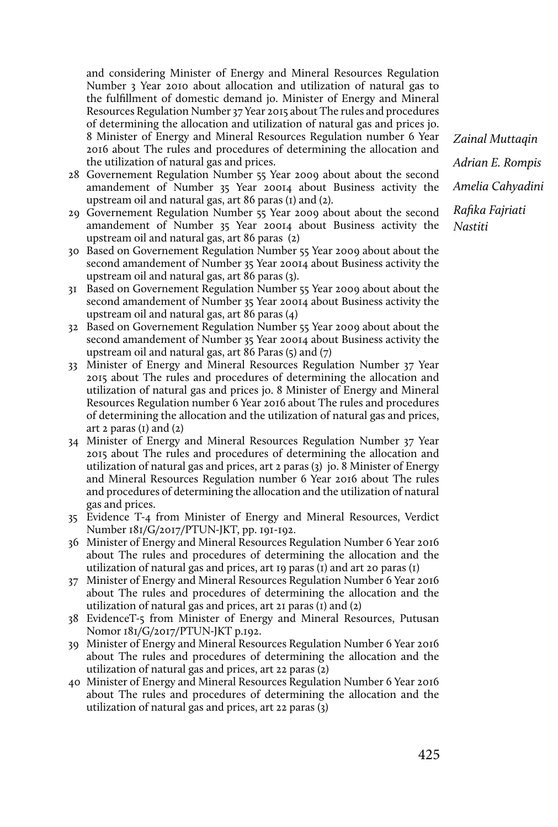and considering Minister of Energy and Mineral Resources Regulation Number 3 Year 2010 about allocation and utilization of natural gas to the fulfillment of domestic demand jo. Minister of Energy and Mineral Resources Regulation Number 37 Year 2015 about The rules and procedures of determining the allocation and utilization of natural gas and prices jo. 8 Minister of Energy and Mineral Resources Regulation number 6 Year 2016 about The rules and procedures of determining the allocation and the utilization of natural gas and prices.

- 28 Governement Regulation Number 55 Year 2009 about about the second amandement of Number 35 Year 20014 about Business activity the upstream oil and natural gas, art 86 paras (1) and (2).
- 29 Governement Regulation Number 55 Year 2009 about about the second amandement of Number 35 Year 20014 about Business activity the upstream oil and natural gas, art 86 paras (2)
- 30 Based on Governement Regulation Number 55 Year 2009 about about the second amandement of Number 35 Year 20014 about Business activity the upstream oil and natural gas, art 86 paras (3).
- 31 Based on Governement Regulation Number 55 Year 2009 about about the second amandement of Number 35 Year 20014 about Business activity the upstream oil and natural gas, art 86 paras (4)
- 32 Based on Governement Regulation Number 55 Year 2009 about about the second amandement of Number 35 Year 20014 about Business activity the upstream oil and natural gas, art 86 Paras (5) and (7)
- 33 Minister of Energy and Mineral Resources Regulation Number 37 Year 2015 about The rules and procedures of determining the allocation and utilization of natural gas and prices jo. 8 Minister of Energy and Mineral Resources Regulation number 6 Year 2016 about The rules and procedures of determining the allocation and the utilization of natural gas and prices, art 2 paras  $(I)$  and  $(2)$
- 34 Minister of Energy and Mineral Resources Regulation Number 37 Year 2015 about The rules and procedures of determining the allocation and utilization of natural gas and prices, art 2 paras (3) jo. 8 Minister of Energy and Mineral Resources Regulation number 6 Year 2016 about The rules and procedures of determining the allocation and the utilization of natural gas and prices.
- 35 Evidence T-4 from Minister of Energy and Mineral Resources, Verdict Number 181/G/2017/PTUN-JKT, pp. 191-192.
- 36 Minister of Energy and Mineral Resources Regulation Number 6 Year 2016 about The rules and procedures of determining the allocation and the utilization of natural gas and prices, art 19 paras (1) and art 20 paras (1)
- 37 Minister of Energy and Mineral Resources Regulation Number 6 Year 2016 about The rules and procedures of determining the allocation and the utilization of natural gas and prices, art 21 paras (1) and (2)
- 38 EvidenceT-5 from Minister of Energy and Mineral Resources, Putusan Nomor 181/G/2017/PTUN-JKT p.192.
- 39 Minister of Energy and Mineral Resources Regulation Number 6 Year 2016 about The rules and procedures of determining the allocation and the utilization of natural gas and prices, art 22 paras (2)
- 40 Minister of Energy and Mineral Resources Regulation Number 6 Year 2016 about The rules and procedures of determining the allocation and the utilization of natural gas and prices, art 22 paras (3)